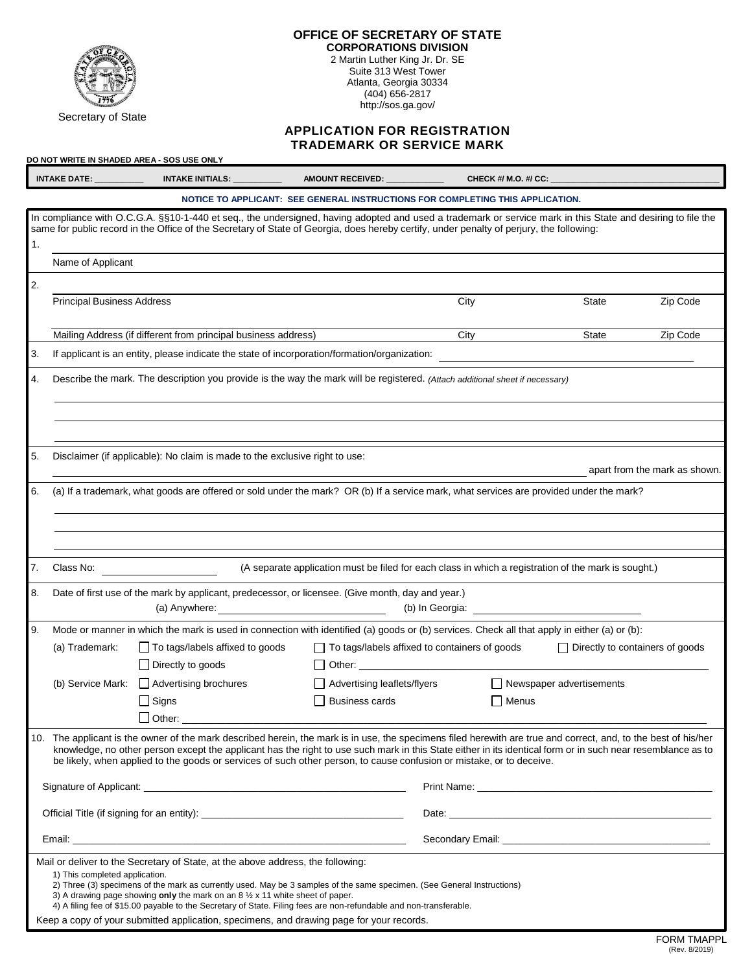

## **OFFICE OF SECRETARY OF STATE CORPORATIONS DIVISION**

2 Martin Luther King Jr. Dr. SE Suite 313 West Tower Atlanta, Georgia 30334 (404) 656-2817 http://sos.ga.gov/

## **APPLICATION FOR REGISTRATION TRADEMARK OR SERVICE MARK**

|                                                                                                                         | INTAKE DATE:                                                                                                                                                                                                                                                                                                                                                                                                                                           | $INTAKE INITIALS: \_\_\_\_\_\_\_\_\_\_\_\_\_\_\_\_\_\_$                                                                                                                     | AMOUNT RECEIVED: ____________                                                                                                                                                                                                                                                                           | CHECK #/ M.O. #/ CC: _                                                                                                                                                                                                               |                                        |                               |
|-------------------------------------------------------------------------------------------------------------------------|--------------------------------------------------------------------------------------------------------------------------------------------------------------------------------------------------------------------------------------------------------------------------------------------------------------------------------------------------------------------------------------------------------------------------------------------------------|-----------------------------------------------------------------------------------------------------------------------------------------------------------------------------|---------------------------------------------------------------------------------------------------------------------------------------------------------------------------------------------------------------------------------------------------------------------------------------------------------|--------------------------------------------------------------------------------------------------------------------------------------------------------------------------------------------------------------------------------------|----------------------------------------|-------------------------------|
|                                                                                                                         |                                                                                                                                                                                                                                                                                                                                                                                                                                                        |                                                                                                                                                                             | NOTICE TO APPLICANT: SEE GENERAL INSTRUCTIONS FOR COMPLETING THIS APPLICATION.                                                                                                                                                                                                                          |                                                                                                                                                                                                                                      |                                        |                               |
| 1.                                                                                                                      |                                                                                                                                                                                                                                                                                                                                                                                                                                                        |                                                                                                                                                                             | In compliance with O.C.G.A. §§10-1-440 et seq., the undersigned, having adopted and used a trademark or service mark in this State and desiring to file the<br>same for public record in the Office of the Secretary of State of Georgia, does hereby certify, under penalty of perjury, the following: |                                                                                                                                                                                                                                      |                                        |                               |
|                                                                                                                         | Name of Applicant                                                                                                                                                                                                                                                                                                                                                                                                                                      |                                                                                                                                                                             |                                                                                                                                                                                                                                                                                                         |                                                                                                                                                                                                                                      |                                        |                               |
| 2.                                                                                                                      |                                                                                                                                                                                                                                                                                                                                                                                                                                                        |                                                                                                                                                                             |                                                                                                                                                                                                                                                                                                         |                                                                                                                                                                                                                                      |                                        |                               |
|                                                                                                                         | <b>Principal Business Address</b>                                                                                                                                                                                                                                                                                                                                                                                                                      |                                                                                                                                                                             |                                                                                                                                                                                                                                                                                                         | City                                                                                                                                                                                                                                 | State                                  | Zip Code                      |
|                                                                                                                         |                                                                                                                                                                                                                                                                                                                                                                                                                                                        | Mailing Address (if different from principal business address)                                                                                                              |                                                                                                                                                                                                                                                                                                         | City                                                                                                                                                                                                                                 | State                                  | Zip Code                      |
| 3.                                                                                                                      | If applicant is an entity, please indicate the state of incorporation/formation/organization:                                                                                                                                                                                                                                                                                                                                                          |                                                                                                                                                                             |                                                                                                                                                                                                                                                                                                         |                                                                                                                                                                                                                                      |                                        |                               |
| 4.                                                                                                                      | Describe the mark. The description you provide is the way the mark will be registered. (Attach additional sheet if necessary)                                                                                                                                                                                                                                                                                                                          |                                                                                                                                                                             |                                                                                                                                                                                                                                                                                                         |                                                                                                                                                                                                                                      |                                        |                               |
|                                                                                                                         |                                                                                                                                                                                                                                                                                                                                                                                                                                                        |                                                                                                                                                                             |                                                                                                                                                                                                                                                                                                         |                                                                                                                                                                                                                                      |                                        |                               |
| 5.                                                                                                                      |                                                                                                                                                                                                                                                                                                                                                                                                                                                        | Disclaimer (if applicable): No claim is made to the exclusive right to use:                                                                                                 |                                                                                                                                                                                                                                                                                                         |                                                                                                                                                                                                                                      |                                        | apart from the mark as shown. |
| 6.                                                                                                                      | (a) If a trademark, what goods are offered or sold under the mark? OR (b) If a service mark, what services are provided under the mark?                                                                                                                                                                                                                                                                                                                |                                                                                                                                                                             |                                                                                                                                                                                                                                                                                                         |                                                                                                                                                                                                                                      |                                        |                               |
|                                                                                                                         |                                                                                                                                                                                                                                                                                                                                                                                                                                                        |                                                                                                                                                                             |                                                                                                                                                                                                                                                                                                         |                                                                                                                                                                                                                                      |                                        |                               |
|                                                                                                                         |                                                                                                                                                                                                                                                                                                                                                                                                                                                        |                                                                                                                                                                             |                                                                                                                                                                                                                                                                                                         |                                                                                                                                                                                                                                      |                                        |                               |
| 7.<br>(A separate application must be filed for each class in which a registration of the mark is sought.)<br>Class No: |                                                                                                                                                                                                                                                                                                                                                                                                                                                        |                                                                                                                                                                             |                                                                                                                                                                                                                                                                                                         |                                                                                                                                                                                                                                      |                                        |                               |
| 8.                                                                                                                      |                                                                                                                                                                                                                                                                                                                                                                                                                                                        |                                                                                                                                                                             | Date of first use of the mark by applicant, predecessor, or licensee. (Give month, day and year.)                                                                                                                                                                                                       | (b) In Georgia: <u>contract and the contract of the contract of the contract of the contract of the contract of the contract of the contract of the contract of the contract of the contract of the contract of the contract of </u> |                                        |                               |
| 9.                                                                                                                      |                                                                                                                                                                                                                                                                                                                                                                                                                                                        |                                                                                                                                                                             | Mode or manner in which the mark is used in connection with identified (a) goods or (b) services. Check all that apply in either (a) or (b):                                                                                                                                                            |                                                                                                                                                                                                                                      |                                        |                               |
|                                                                                                                         | (a) Trademark:                                                                                                                                                                                                                                                                                                                                                                                                                                         | To tags/labels affixed to goods<br>$\Box$ Directly to goods                                                                                                                 |                                                                                                                                                                                                                                                                                                         | To tags/labels affixed to containers of goods                                                                                                                                                                                        | $\Box$ Directly to containers of goods |                               |
|                                                                                                                         |                                                                                                                                                                                                                                                                                                                                                                                                                                                        | (b) Service Mark:   Advertising brochures                                                                                                                                   | $\Box$ Advertising leaflets/flyers                                                                                                                                                                                                                                                                      |                                                                                                                                                                                                                                      | Newspaper advertisements               |                               |
|                                                                                                                         |                                                                                                                                                                                                                                                                                                                                                                                                                                                        | $\Box$ Signs                                                                                                                                                                | <b>Business cards Example 2019</b>                                                                                                                                                                                                                                                                      | $\Box$ Menus                                                                                                                                                                                                                         |                                        |                               |
|                                                                                                                         |                                                                                                                                                                                                                                                                                                                                                                                                                                                        |                                                                                                                                                                             |                                                                                                                                                                                                                                                                                                         |                                                                                                                                                                                                                                      |                                        |                               |
|                                                                                                                         | 10. The applicant is the owner of the mark described herein, the mark is in use, the specimens filed herewith are true and correct, and, to the best of his/her<br>knowledge, no other person except the applicant has the right to use such mark in this State either in its identical form or in such near resemblance as to<br>be likely, when applied to the goods or services of such other person, to cause confusion or mistake, or to deceive. |                                                                                                                                                                             |                                                                                                                                                                                                                                                                                                         |                                                                                                                                                                                                                                      |                                        |                               |
|                                                                                                                         |                                                                                                                                                                                                                                                                                                                                                                                                                                                        |                                                                                                                                                                             |                                                                                                                                                                                                                                                                                                         |                                                                                                                                                                                                                                      |                                        |                               |
|                                                                                                                         |                                                                                                                                                                                                                                                                                                                                                                                                                                                        |                                                                                                                                                                             |                                                                                                                                                                                                                                                                                                         |                                                                                                                                                                                                                                      |                                        |                               |
|                                                                                                                         |                                                                                                                                                                                                                                                                                                                                                                                                                                                        |                                                                                                                                                                             |                                                                                                                                                                                                                                                                                                         |                                                                                                                                                                                                                                      |                                        |                               |
|                                                                                                                         | 1) This completed application.                                                                                                                                                                                                                                                                                                                                                                                                                         | Mail or deliver to the Secretary of State, at the above address, the following:<br>3) A drawing page showing only the mark on an 8 $\frac{1}{2}$ x 11 white sheet of paper. | 2) Three (3) specimens of the mark as currently used. May be 3 samples of the same specimen. (See General Instructions)                                                                                                                                                                                 |                                                                                                                                                                                                                                      |                                        |                               |